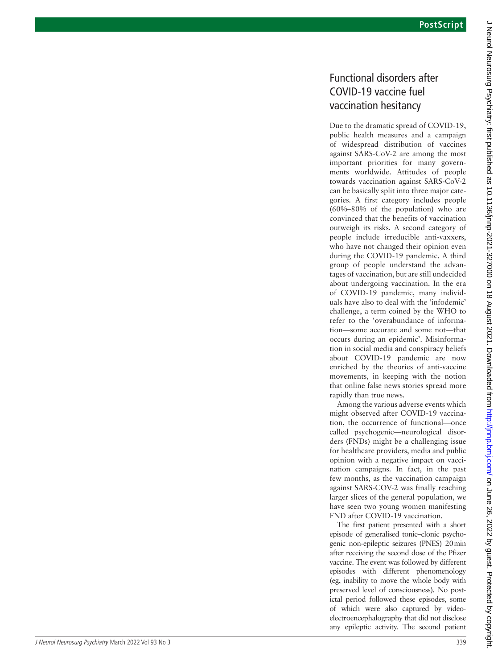## Functional disorders after COVID-19 vaccine fuel vaccination hesitancy

Due to the dramatic spread of COVID-19, public health measures and a campaign of widespread distribution of vaccines against SARS-CoV-2 are among the most important priorities for many governments worldwide. Attitudes of people towards vaccination against SARS-CoV-2 can be basically split into three major categories. A first category includes people (60%–80% of the population) who are convinced that the benefits of vaccination outweigh its risks. A second category of people include irreducible anti-vaxxers, who have not changed their opinion even during the COVID-19 pandemic. A third group of people understand the advantages of vaccination, but are still undecided about undergoing vaccination. In the era of COVID-19 pandemic, many individuals have also to deal with the 'infodemic' challenge, a term coined by the WHO to refer to the 'overabundance of information—some accurate and some not—that occurs during an epidemic'. Misinformation in social media and conspiracy beliefs about COVID-19 pandemic are now enriched by the theories of anti-vaccine movements, in keeping with the notion that online false news stories spread more rapidly than true news.

Among the various adverse events which might observed after COVID-19 vaccination, the occurrence of functional—once called psychogenic—neurological disorders (FNDs) might be a challenging issue for healthcare providers, media and public opinion with a negative impact on vaccination campaigns. In fact, in the past few months, as the vaccination campaign against SARS-COV-2 was finally reaching larger slices of the general population, we have seen two young women manifesting FND after COVID-19 vaccination.

The first patient presented with a short episode of generalised tonic–clonic psychogenic non-epileptic seizures (PNES) 20min after receiving the second dose of the Pfizer vaccine. The event was followed by different episodes with different phenomenology (eg, inability to move the whole body with preserved level of consciousness). No postictal period followed these episodes, some of which were also captured by videoelectroencephalography that did not disclose any epileptic activity. The second patient

J Neurol Neurosurg Psychiatry: first published as 10.11136/jnnp-2021-327000 on 18 August 2021. Downloaded from http://jnnp.bmj.com/ on June 26, 2022 by guest. Protected by copyright J Neurol Neurosurg Psychiatry: first published as 10.1136/jnnp-2021-327000 on 18 August 2021. Downloaded from <http://jnnp.bmj.com/> June 26, 2022 by guest. Protected by copyright.